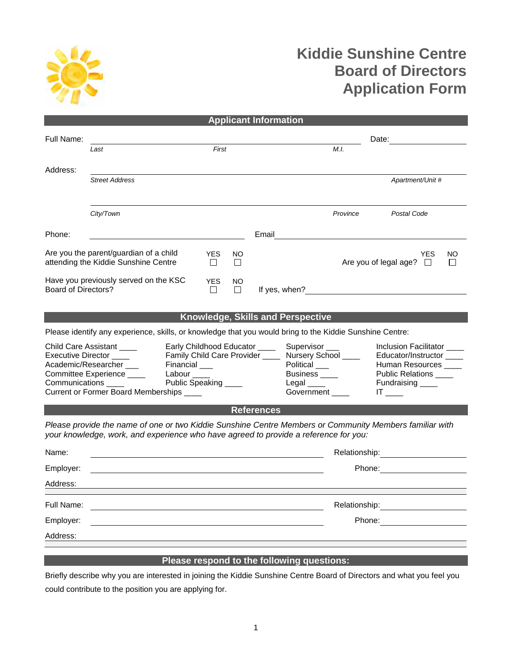

## **Kiddie Sunshine Centre Board of Directors Application Form**

| <b>Applicant Information</b>                                                                                                                                                                                                                                                                                              |                                                                                                                                                                                                 |               |          |                                   |                                                                                                                                                                                                                                            |                                            |                                                                                                                                                                                                                                |
|---------------------------------------------------------------------------------------------------------------------------------------------------------------------------------------------------------------------------------------------------------------------------------------------------------------------------|-------------------------------------------------------------------------------------------------------------------------------------------------------------------------------------------------|---------------|----------|-----------------------------------|--------------------------------------------------------------------------------------------------------------------------------------------------------------------------------------------------------------------------------------------|--------------------------------------------|--------------------------------------------------------------------------------------------------------------------------------------------------------------------------------------------------------------------------------|
| Full Name:                                                                                                                                                                                                                                                                                                                |                                                                                                                                                                                                 |               | Date:    |                                   |                                                                                                                                                                                                                                            |                                            |                                                                                                                                                                                                                                |
|                                                                                                                                                                                                                                                                                                                           | Last                                                                                                                                                                                            | First         |          |                                   |                                                                                                                                                                                                                                            | M.I.                                       |                                                                                                                                                                                                                                |
| Address:                                                                                                                                                                                                                                                                                                                  |                                                                                                                                                                                                 |               |          |                                   |                                                                                                                                                                                                                                            |                                            |                                                                                                                                                                                                                                |
|                                                                                                                                                                                                                                                                                                                           | <b>Street Address</b>                                                                                                                                                                           |               |          |                                   |                                                                                                                                                                                                                                            |                                            | Apartment/Unit #                                                                                                                                                                                                               |
|                                                                                                                                                                                                                                                                                                                           |                                                                                                                                                                                                 |               |          |                                   |                                                                                                                                                                                                                                            |                                            |                                                                                                                                                                                                                                |
|                                                                                                                                                                                                                                                                                                                           | City/Town                                                                                                                                                                                       |               |          |                                   |                                                                                                                                                                                                                                            | Province                                   | Postal Code                                                                                                                                                                                                                    |
| Phone:                                                                                                                                                                                                                                                                                                                    |                                                                                                                                                                                                 |               |          | Email                             |                                                                                                                                                                                                                                            |                                            |                                                                                                                                                                                                                                |
| Are you the parent/guardian of a child<br><b>YES</b><br>attending the Kiddie Sunshine Centre<br>П                                                                                                                                                                                                                         |                                                                                                                                                                                                 |               | NO.<br>П |                                   |                                                                                                                                                                                                                                            |                                            | <b>YES</b><br>NO<br>Are you of legal age? $\square$<br>$\mathsf{L}$                                                                                                                                                            |
| <b>Board of Directors?</b>                                                                                                                                                                                                                                                                                                | Have you previously served on the KSC                                                                                                                                                           | YES<br>$\Box$ | NO.<br>П |                                   |                                                                                                                                                                                                                                            | If yes, when?                              |                                                                                                                                                                                                                                |
|                                                                                                                                                                                                                                                                                                                           |                                                                                                                                                                                                 |               |          | Knowledge, Skills and Perspective |                                                                                                                                                                                                                                            |                                            |                                                                                                                                                                                                                                |
|                                                                                                                                                                                                                                                                                                                           | Please identify any experience, skills, or knowledge that you would bring to the Kiddie Sunshine Centre:                                                                                        |               |          |                                   |                                                                                                                                                                                                                                            |                                            |                                                                                                                                                                                                                                |
| <b>Child Care Assistant</b><br>Early Childhood Educator ____<br>Family Child Care Provider _____ Nursery School ____<br>Executive Director ____<br>Academic/Researcher<br>Financial __<br>Committee Experience ____<br>Labour _____<br>Public Speaking<br>Communications ____<br>Current or Former Board Memberships ____ |                                                                                                                                                                                                 |               |          |                                   | Supervisor ___<br>Inclusion Facilitator<br>Educator/Instructor ____<br>Political ___<br>Human Resources ____<br>Business _____<br>Public Relations _____<br>Fundraising ____<br>$Legal$ ______<br>Government ____<br>$IT$ <sub>_____</sub> |                                            |                                                                                                                                                                                                                                |
| <b>References</b>                                                                                                                                                                                                                                                                                                         |                                                                                                                                                                                                 |               |          |                                   |                                                                                                                                                                                                                                            |                                            |                                                                                                                                                                                                                                |
|                                                                                                                                                                                                                                                                                                                           | Please provide the name of one or two Kiddie Sunshine Centre Members or Community Members familiar with<br>your knowledge, work, and experience who have agreed to provide a reference for you: |               |          |                                   |                                                                                                                                                                                                                                            |                                            |                                                                                                                                                                                                                                |
| Name:                                                                                                                                                                                                                                                                                                                     |                                                                                                                                                                                                 |               |          |                                   |                                                                                                                                                                                                                                            |                                            | Relationship: example and the set of the set of the set of the set of the set of the set of the set of the set of the set of the set of the set of the set of the set of the set of the set of the set of the set of the set o |
| Employer:                                                                                                                                                                                                                                                                                                                 |                                                                                                                                                                                                 |               |          |                                   |                                                                                                                                                                                                                                            | Phone:                                     |                                                                                                                                                                                                                                |
| Address:                                                                                                                                                                                                                                                                                                                  |                                                                                                                                                                                                 |               |          |                                   |                                                                                                                                                                                                                                            |                                            |                                                                                                                                                                                                                                |
| Full Name:                                                                                                                                                                                                                                                                                                                |                                                                                                                                                                                                 |               |          |                                   |                                                                                                                                                                                                                                            | Relationship:                              |                                                                                                                                                                                                                                |
| Employer:                                                                                                                                                                                                                                                                                                                 |                                                                                                                                                                                                 |               |          |                                   | Phone:                                                                                                                                                                                                                                     |                                            |                                                                                                                                                                                                                                |
| Address:                                                                                                                                                                                                                                                                                                                  |                                                                                                                                                                                                 |               |          |                                   |                                                                                                                                                                                                                                            |                                            |                                                                                                                                                                                                                                |
|                                                                                                                                                                                                                                                                                                                           |                                                                                                                                                                                                 |               |          |                                   |                                                                                                                                                                                                                                            |                                            |                                                                                                                                                                                                                                |
|                                                                                                                                                                                                                                                                                                                           |                                                                                                                                                                                                 |               |          |                                   |                                                                                                                                                                                                                                            | Please respond to the following questions: |                                                                                                                                                                                                                                |

Briefly describe why you are interested in joining the Kiddie Sunshine Centre Board of Directors and what you feel you could contribute to the position you are applying for.